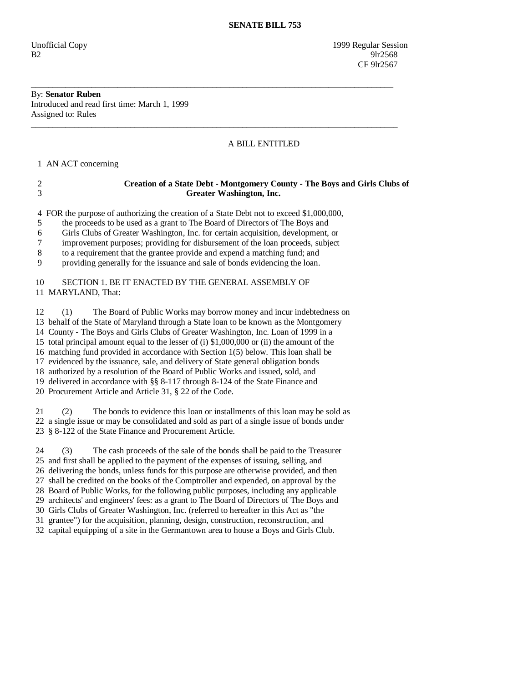Unofficial Copy 1999 Regular Session  $B2$  9lr2568 **CF** 9lr2567

## By: **Senator Ruben**  Introduced and read first time: March 1, 1999 Assigned to: Rules

## A BILL ENTITLED

1 AN ACT concerning

|   | Creation of a State Debt - Montgomery County - The Boys and Girls Clubs of<br>Greater Washington, Inc. |
|---|--------------------------------------------------------------------------------------------------------|
|   | 4 FOR the purpose of authorizing the creation of a State Debt not to exceed \$1,000,000,               |
|   | the proceeds to be used as a grant to The Board of Directors of The Boys and                           |
| 6 | Girls Clubs of Greater Washington, Inc. for certain acquisition, development, or                       |
|   | improvement purposes; providing for disbursement of the loan proceeds, subject                         |
| 8 | to a requirement that the grantee provide and expend a matching fund; and                              |
| 9 | providing generally for the issuance and sale of bonds evidencing the loan.                            |

\_\_\_\_\_\_\_\_\_\_\_\_\_\_\_\_\_\_\_\_\_\_\_\_\_\_\_\_\_\_\_\_\_\_\_\_\_\_\_\_\_\_\_\_\_\_\_\_\_\_\_\_\_\_\_\_\_\_\_\_\_\_\_\_\_\_\_\_\_\_\_\_\_\_\_\_\_\_\_\_\_\_\_\_

\_\_\_\_\_\_\_\_\_\_\_\_\_\_\_\_\_\_\_\_\_\_\_\_\_\_\_\_\_\_\_\_\_\_\_\_\_\_\_\_\_\_\_\_\_\_\_\_\_\_\_\_\_\_\_\_\_\_\_\_\_\_\_\_\_\_\_\_\_\_\_\_\_\_\_\_\_\_\_\_\_\_\_\_\_

## 10 SECTION 1. BE IT ENACTED BY THE GENERAL ASSEMBLY OF 11 MARYLAND, That:

 12 (1) The Board of Public Works may borrow money and incur indebtedness on 13 behalf of the State of Maryland through a State loan to be known as the Montgomery 14 County - The Boys and Girls Clubs of Greater Washington, Inc. Loan of 1999 in a 15 total principal amount equal to the lesser of (i) \$1,000,000 or (ii) the amount of the 16 matching fund provided in accordance with Section 1(5) below. This loan shall be 17 evidenced by the issuance, sale, and delivery of State general obligation bonds 18 authorized by a resolution of the Board of Public Works and issued, sold, and 19 delivered in accordance with §§ 8-117 through 8-124 of the State Finance and 20 Procurement Article and Article 31, § 22 of the Code.

 21 (2) The bonds to evidence this loan or installments of this loan may be sold as 22 a single issue or may be consolidated and sold as part of a single issue of bonds under 23 § 8-122 of the State Finance and Procurement Article.

 24 (3) The cash proceeds of the sale of the bonds shall be paid to the Treasurer 25 and first shall be applied to the payment of the expenses of issuing, selling, and 26 delivering the bonds, unless funds for this purpose are otherwise provided, and then 27 shall be credited on the books of the Comptroller and expended, on approval by the 28 Board of Public Works, for the following public purposes, including any applicable 29 architects' and engineers' fees: as a grant to The Board of Directors of The Boys and 30 Girls Clubs of Greater Washington, Inc. (referred to hereafter in this Act as "the 31 grantee") for the acquisition, planning, design, construction, reconstruction, and 32 capital equipping of a site in the Germantown area to house a Boys and Girls Club.